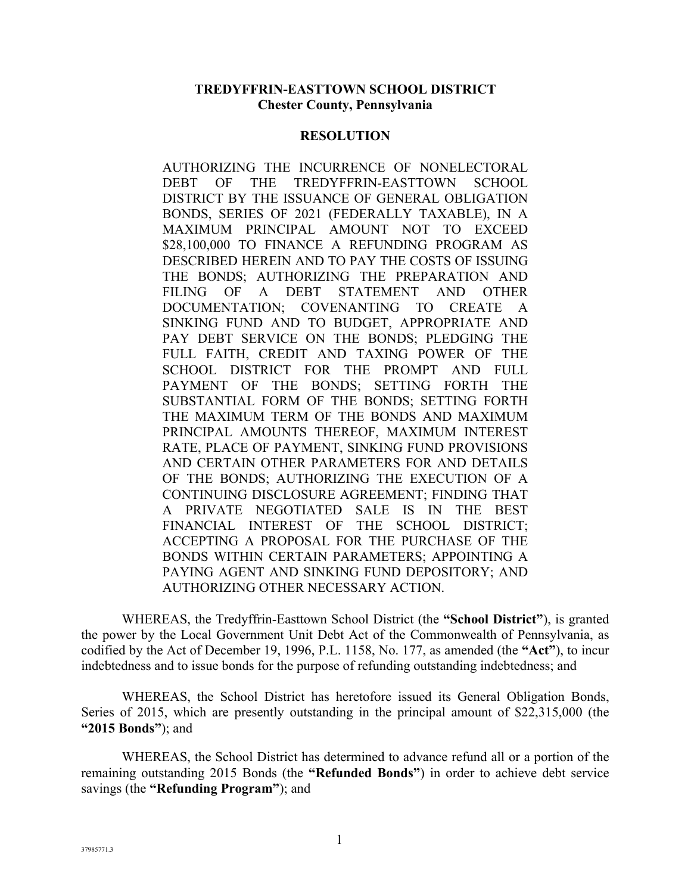#### **TREDYFFRIN-EASTTOWN SCHOOL DISTRICT Chester County, Pennsylvania**

#### **RESOLUTION**

AUTHORIZING THE INCURRENCE OF NONELECTORAL DEBT OF THE TREDYFFRIN-EASTTOWN SCHOOL DISTRICT BY THE ISSUANCE OF GENERAL OBLIGATION BONDS, SERIES OF 2021 (FEDERALLY TAXABLE), IN A MAXIMUM PRINCIPAL AMOUNT NOT TO EXCEED \$28,100,000 TO FINANCE A REFUNDING PROGRAM AS DESCRIBED HEREIN AND TO PAY THE COSTS OF ISSUING THE BONDS; AUTHORIZING THE PREPARATION AND FILING OF A DEBT STATEMENT AND OTHER DOCUMENTATION; COVENANTING TO CREATE A SINKING FUND AND TO BUDGET, APPROPRIATE AND PAY DEBT SERVICE ON THE BONDS; PLEDGING THE FULL FAITH, CREDIT AND TAXING POWER OF THE SCHOOL DISTRICT FOR THE PROMPT AND FULL PAYMENT OF THE BONDS; SETTING FORTH THE SUBSTANTIAL FORM OF THE BONDS; SETTING FORTH THE MAXIMUM TERM OF THE BONDS AND MAXIMUM PRINCIPAL AMOUNTS THEREOF, MAXIMUM INTEREST RATE, PLACE OF PAYMENT, SINKING FUND PROVISIONS AND CERTAIN OTHER PARAMETERS FOR AND DETAILS OF THE BONDS; AUTHORIZING THE EXECUTION OF A CONTINUING DISCLOSURE AGREEMENT; FINDING THAT A PRIVATE NEGOTIATED SALE IS IN THE BEST FINANCIAL INTEREST OF THE SCHOOL DISTRICT; ACCEPTING A PROPOSAL FOR THE PURCHASE OF THE BONDS WITHIN CERTAIN PARAMETERS; APPOINTING A PAYING AGENT AND SINKING FUND DEPOSITORY; AND AUTHORIZING OTHER NECESSARY ACTION.

WHEREAS, the Tredyffrin-Easttown School District (the **"School District"**), is granted the power by the Local Government Unit Debt Act of the Commonwealth of Pennsylvania, as codified by the Act of December 19, 1996, P.L. 1158, No. 177, as amended (the **"Act"**), to incur indebtedness and to issue bonds for the purpose of refunding outstanding indebtedness; and

WHEREAS, the School District has heretofore issued its General Obligation Bonds, Series of 2015, which are presently outstanding in the principal amount of \$22,315,000 (the **"2015 Bonds"**); and

WHEREAS, the School District has determined to advance refund all or a portion of the remaining outstanding 2015 Bonds (the **"Refunded Bonds"**) in order to achieve debt service savings (the **"Refunding Program"**); and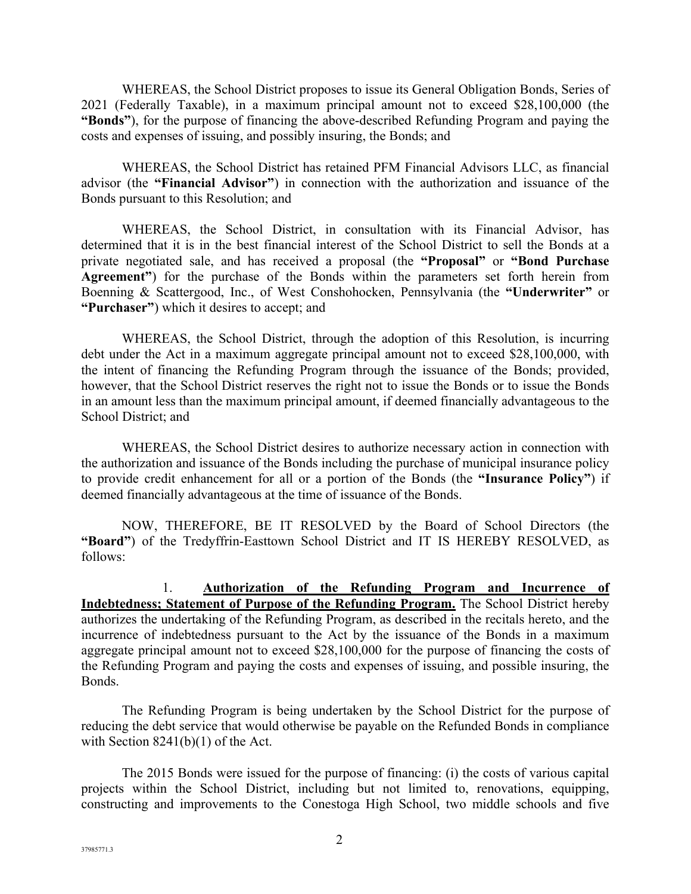WHEREAS, the School District proposes to issue its General Obligation Bonds, Series of 2021 (Federally Taxable), in a maximum principal amount not to exceed \$28,100,000 (the **"Bonds"**), for the purpose of financing the above-described Refunding Program and paying the costs and expenses of issuing, and possibly insuring, the Bonds; and

WHEREAS, the School District has retained PFM Financial Advisors LLC, as financial advisor (the **"Financial Advisor"**) in connection with the authorization and issuance of the Bonds pursuant to this Resolution; and

WHEREAS, the School District, in consultation with its Financial Advisor, has determined that it is in the best financial interest of the School District to sell the Bonds at a private negotiated sale, and has received a proposal (the **"Proposal"** or **"Bond Purchase Agreement"**) for the purchase of the Bonds within the parameters set forth herein from Boenning & Scattergood, Inc., of West Conshohocken, Pennsylvania (the **"Underwriter"** or **"Purchaser"**) which it desires to accept; and

WHEREAS, the School District, through the adoption of this Resolution, is incurring debt under the Act in a maximum aggregate principal amount not to exceed \$28,100,000, with the intent of financing the Refunding Program through the issuance of the Bonds; provided, however, that the School District reserves the right not to issue the Bonds or to issue the Bonds in an amount less than the maximum principal amount, if deemed financially advantageous to the School District; and

WHEREAS, the School District desires to authorize necessary action in connection with the authorization and issuance of the Bonds including the purchase of municipal insurance policy to provide credit enhancement for all or a portion of the Bonds (the **"Insurance Policy"**) if deemed financially advantageous at the time of issuance of the Bonds.

NOW, THEREFORE, BE IT RESOLVED by the Board of School Directors (the **"Board"**) of the Tredyffrin-Easttown School District and IT IS HEREBY RESOLVED, as follows:

1. **Authorization of the Refunding Program and Incurrence of Indebtedness; Statement of Purpose of the Refunding Program.** The School District hereby authorizes the undertaking of the Refunding Program, as described in the recitals hereto, and the incurrence of indebtedness pursuant to the Act by the issuance of the Bonds in a maximum aggregate principal amount not to exceed \$28,100,000 for the purpose of financing the costs of the Refunding Program and paying the costs and expenses of issuing, and possible insuring, the Bonds.

The Refunding Program is being undertaken by the School District for the purpose of reducing the debt service that would otherwise be payable on the Refunded Bonds in compliance with Section  $8241(b)(1)$  of the Act.

The 2015 Bonds were issued for the purpose of financing: (i) the costs of various capital projects within the School District, including but not limited to, renovations, equipping, constructing and improvements to the Conestoga High School, two middle schools and five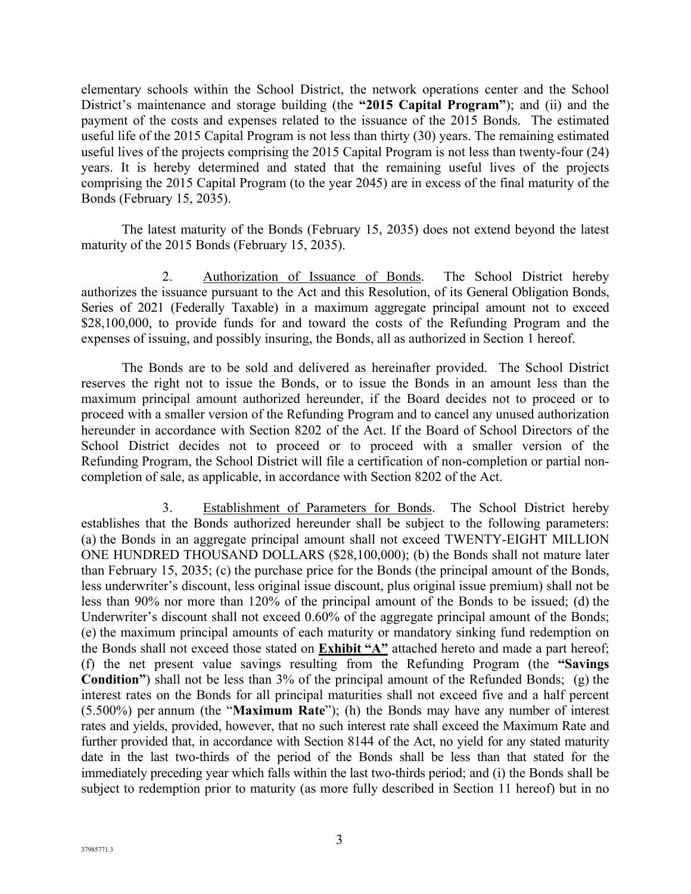elementary schools within the School District, the network operations center and the School District's maintenance and storage building (the **"2015 Capital Program"**); and (ii) and the payment of the costs and expenses related to the issuance of the 2015 Bonds. The estimated useful life of the 2015 Capital Program is not less than thirty (30) years. The remaining estimated useful lives of the projects comprising the 2015 Capital Program is not less than twenty-four (24) years. It is hereby determined and stated that the remaining useful lives of the projects comprising the 2015 Capital Program (to the year 2045) are in excess of the final maturity of the Bonds (February 15, 2035).

The latest maturity of the Bonds (February 15, 2035) does not extend beyond the latest maturity of the 2015 Bonds (February 15, 2035).

2. Authorization of Issuance of Bonds. The School District hereby authorizes the issuance pursuant to the Act and this Resolution, of its General Obligation Bonds, Series of 2021 (Federally Taxable) in a maximum aggregate principal amount not to exceed \$28,100,000, to provide funds for and toward the costs of the Refunding Program and the expenses of issuing, and possibly insuring, the Bonds, all as authorized in Section 1 hereof.

The Bonds are to be sold and delivered as hereinafter provided. The School District reserves the right not to issue the Bonds, or to issue the Bonds in an amount less than the maximum principal amount authorized hereunder, if the Board decides not to proceed or to proceed with a smaller version of the Refunding Program and to cancel any unused authorization hereunder in accordance with Section 8202 of the Act. If the Board of School Directors of the School District decides not to proceed or to proceed with a smaller version of the Refunding Program, the School District will file a certification of non-completion or partial noncompletion of sale, as applicable, in accordance with Section 8202 of the Act.

3. Establishment of Parameters for Bonds. The School District hereby establishes that the Bonds authorized hereunder shall be subject to the following parameters: (a) the Bonds in an aggregate principal amount shall not exceed TWENTY-EIGHT MILLION ONE HUNDRED THOUSAND DOLLARS (\$28,100,000); (b) the Bonds shall not mature later than February 15, 2035; (c) the purchase price for the Bonds (the principal amount of the Bonds, less underwriter's discount, less original issue discount, plus original issue premium) shall not be less than 90% nor more than 120% of the principal amount of the Bonds to be issued; (d) the Underwriter's discount shall not exceed 0.60% of the aggregate principal amount of the Bonds; (e) the maximum principal amounts of each maturity or mandatory sinking fund redemption on the Bonds shall not exceed those stated on **Exhibit "A"** attached hereto and made a part hereof; (f) the net present value savings resulting from the Refunding Program (the **"Savings Condition"**) shall not be less than 3% of the principal amount of the Refunded Bonds; (g) the interest rates on the Bonds for all principal maturities shall not exceed five and a half percent (5.500%) per annum (the "**Maximum Rate**"); (h) the Bonds may have any number of interest rates and yields, provided, however, that no such interest rate shall exceed the Maximum Rate and further provided that, in accordance with Section 8144 of the Act, no yield for any stated maturity date in the last two-thirds of the period of the Bonds shall be less than that stated for the immediately preceding year which falls within the last two-thirds period; and (i) the Bonds shall be subject to redemption prior to maturity (as more fully described in Section 11 hereof) but in no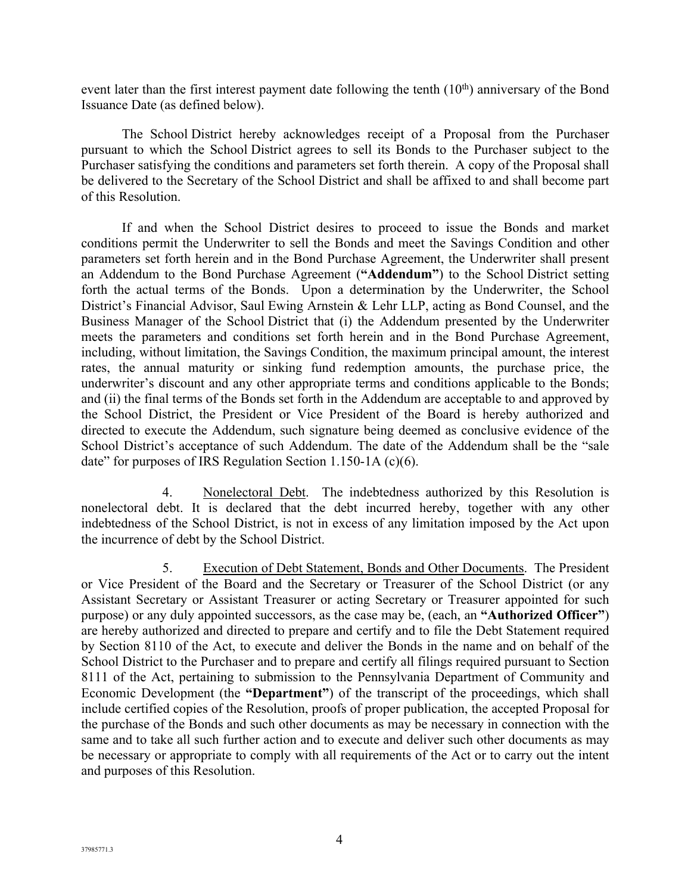event later than the first interest payment date following the tenth  $(10<sup>th</sup>)$  anniversary of the Bond Issuance Date (as defined below).

The School District hereby acknowledges receipt of a Proposal from the Purchaser pursuant to which the School District agrees to sell its Bonds to the Purchaser subject to the Purchaser satisfying the conditions and parameters set forth therein. A copy of the Proposal shall be delivered to the Secretary of the School District and shall be affixed to and shall become part of this Resolution.

If and when the School District desires to proceed to issue the Bonds and market conditions permit the Underwriter to sell the Bonds and meet the Savings Condition and other parameters set forth herein and in the Bond Purchase Agreement, the Underwriter shall present an Addendum to the Bond Purchase Agreement (**"Addendum"**) to the School District setting forth the actual terms of the Bonds. Upon a determination by the Underwriter, the School District's Financial Advisor, Saul Ewing Arnstein & Lehr LLP, acting as Bond Counsel, and the Business Manager of the School District that (i) the Addendum presented by the Underwriter meets the parameters and conditions set forth herein and in the Bond Purchase Agreement, including, without limitation, the Savings Condition, the maximum principal amount, the interest rates, the annual maturity or sinking fund redemption amounts, the purchase price, the underwriter's discount and any other appropriate terms and conditions applicable to the Bonds; and (ii) the final terms of the Bonds set forth in the Addendum are acceptable to and approved by the School District, the President or Vice President of the Board is hereby authorized and directed to execute the Addendum, such signature being deemed as conclusive evidence of the School District's acceptance of such Addendum. The date of the Addendum shall be the "sale date" for purposes of IRS Regulation Section 1.150-1A (c)(6).

4. Nonelectoral Debt. The indebtedness authorized by this Resolution is nonelectoral debt. It is declared that the debt incurred hereby, together with any other indebtedness of the School District, is not in excess of any limitation imposed by the Act upon the incurrence of debt by the School District.

5. Execution of Debt Statement, Bonds and Other Documents. The President or Vice President of the Board and the Secretary or Treasurer of the School District (or any Assistant Secretary or Assistant Treasurer or acting Secretary or Treasurer appointed for such purpose) or any duly appointed successors, as the case may be, (each, an **"Authorized Officer"**) are hereby authorized and directed to prepare and certify and to file the Debt Statement required by Section 8110 of the Act, to execute and deliver the Bonds in the name and on behalf of the School District to the Purchaser and to prepare and certify all filings required pursuant to Section 8111 of the Act, pertaining to submission to the Pennsylvania Department of Community and Economic Development (the **"Department"**) of the transcript of the proceedings, which shall include certified copies of the Resolution, proofs of proper publication, the accepted Proposal for the purchase of the Bonds and such other documents as may be necessary in connection with the same and to take all such further action and to execute and deliver such other documents as may be necessary or appropriate to comply with all requirements of the Act or to carry out the intent and purposes of this Resolution.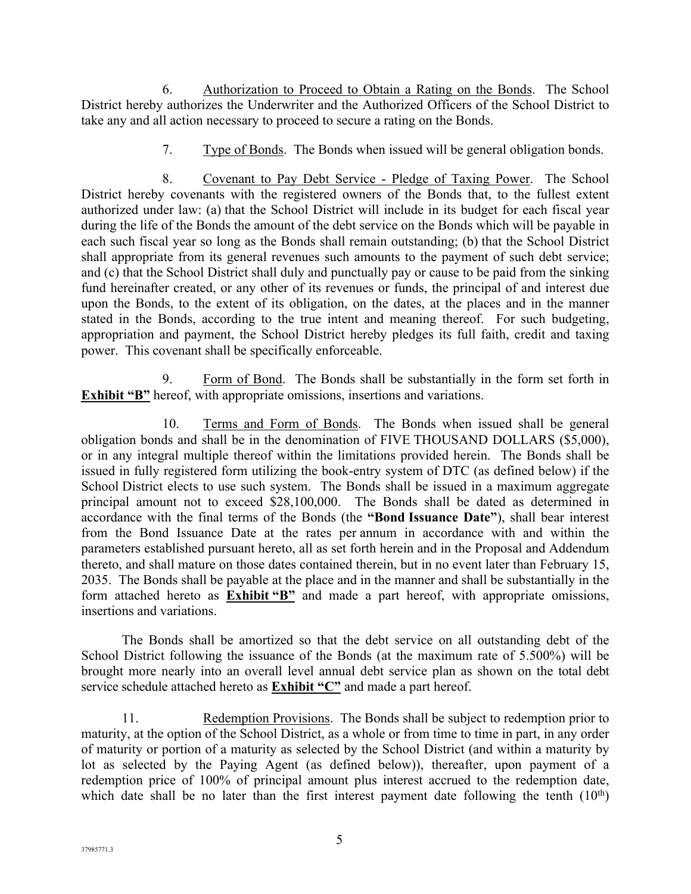6. Authorization to Proceed to Obtain a Rating on the Bonds. The School District hereby authorizes the Underwriter and the Authorized Officers of the School District to take any and all action necessary to proceed to secure a rating on the Bonds.

7. Type of Bonds. The Bonds when issued will be general obligation bonds.

8. Covenant to Pay Debt Service - Pledge of Taxing Power. The School District hereby covenants with the registered owners of the Bonds that, to the fullest extent authorized under law: (a) that the School District will include in its budget for each fiscal year during the life of the Bonds the amount of the debt service on the Bonds which will be payable in each such fiscal year so long as the Bonds shall remain outstanding; (b) that the School District shall appropriate from its general revenues such amounts to the payment of such debt service; and (c) that the School District shall duly and punctually pay or cause to be paid from the sinking fund hereinafter created, or any other of its revenues or funds, the principal of and interest due upon the Bonds, to the extent of its obligation, on the dates, at the places and in the manner stated in the Bonds, according to the true intent and meaning thereof. For such budgeting, appropriation and payment, the School District hereby pledges its full faith, credit and taxing power. This covenant shall be specifically enforceable.

9. Form of Bond. The Bonds shall be substantially in the form set forth in **Exhibit "B"** hereof, with appropriate omissions, insertions and variations.

10. Terms and Form of Bonds. The Bonds when issued shall be general obligation bonds and shall be in the denomination of FIVE THOUSAND DOLLARS (\$5,000), or in any integral multiple thereof within the limitations provided herein. The Bonds shall be issued in fully registered form utilizing the book-entry system of DTC (as defined below) if the School District elects to use such system. The Bonds shall be issued in a maximum aggregate principal amount not to exceed \$28,100,000. The Bonds shall be dated as determined in accordance with the final terms of the Bonds (the **"Bond Issuance Date"**), shall bear interest from the Bond Issuance Date at the rates per annum in accordance with and within the parameters established pursuant hereto, all as set forth herein and in the Proposal and Addendum thereto, and shall mature on those dates contained therein, but in no event later than February 15, 2035. The Bonds shall be payable at the place and in the manner and shall be substantially in the form attached hereto as **Exhibit "B"** and made a part hereof, with appropriate omissions, insertions and variations.

The Bonds shall be amortized so that the debt service on all outstanding debt of the School District following the issuance of the Bonds (at the maximum rate of 5.500%) will be brought more nearly into an overall level annual debt service plan as shown on the total debt service schedule attached hereto as **Exhibit "C"** and made a part hereof.

11. Redemption Provisions. The Bonds shall be subject to redemption prior to maturity, at the option of the School District, as a whole or from time to time in part, in any order of maturity or portion of a maturity as selected by the School District (and within a maturity by lot as selected by the Paying Agent (as defined below)), thereafter, upon payment of a redemption price of 100% of principal amount plus interest accrued to the redemption date, which date shall be no later than the first interest payment date following the tenth  $(10<sup>th</sup>)$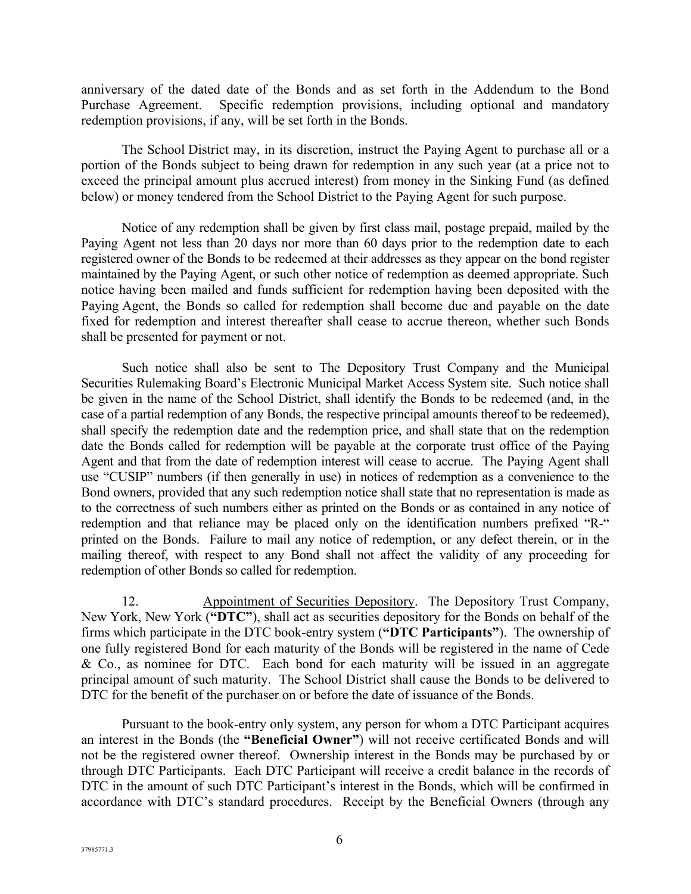anniversary of the dated date of the Bonds and as set forth in the Addendum to the Bond Purchase Agreement. Specific redemption provisions, including optional and mandatory redemption provisions, if any, will be set forth in the Bonds.

The School District may, in its discretion, instruct the Paying Agent to purchase all or a portion of the Bonds subject to being drawn for redemption in any such year (at a price not to exceed the principal amount plus accrued interest) from money in the Sinking Fund (as defined below) or money tendered from the School District to the Paying Agent for such purpose.

Notice of any redemption shall be given by first class mail, postage prepaid, mailed by the Paying Agent not less than 20 days nor more than 60 days prior to the redemption date to each registered owner of the Bonds to be redeemed at their addresses as they appear on the bond register maintained by the Paying Agent, or such other notice of redemption as deemed appropriate. Such notice having been mailed and funds sufficient for redemption having been deposited with the Paying Agent, the Bonds so called for redemption shall become due and payable on the date fixed for redemption and interest thereafter shall cease to accrue thereon, whether such Bonds shall be presented for payment or not.

Such notice shall also be sent to The Depository Trust Company and the Municipal Securities Rulemaking Board's Electronic Municipal Market Access System site. Such notice shall be given in the name of the School District, shall identify the Bonds to be redeemed (and, in the case of a partial redemption of any Bonds, the respective principal amounts thereof to be redeemed), shall specify the redemption date and the redemption price, and shall state that on the redemption date the Bonds called for redemption will be payable at the corporate trust office of the Paying Agent and that from the date of redemption interest will cease to accrue. The Paying Agent shall use "CUSIP" numbers (if then generally in use) in notices of redemption as a convenience to the Bond owners, provided that any such redemption notice shall state that no representation is made as to the correctness of such numbers either as printed on the Bonds or as contained in any notice of redemption and that reliance may be placed only on the identification numbers prefixed "R-" printed on the Bonds. Failure to mail any notice of redemption, or any defect therein, or in the mailing thereof, with respect to any Bond shall not affect the validity of any proceeding for redemption of other Bonds so called for redemption.

12. Appointment of Securities Depository. The Depository Trust Company, New York, New York (**"DTC"**), shall act as securities depository for the Bonds on behalf of the firms which participate in the DTC book-entry system (**"DTC Participants"**). The ownership of one fully registered Bond for each maturity of the Bonds will be registered in the name of Cede & Co., as nominee for DTC. Each bond for each maturity will be issued in an aggregate principal amount of such maturity. The School District shall cause the Bonds to be delivered to DTC for the benefit of the purchaser on or before the date of issuance of the Bonds.

Pursuant to the book-entry only system, any person for whom a DTC Participant acquires an interest in the Bonds (the **"Beneficial Owner"**) will not receive certificated Bonds and will not be the registered owner thereof. Ownership interest in the Bonds may be purchased by or through DTC Participants. Each DTC Participant will receive a credit balance in the records of DTC in the amount of such DTC Participant's interest in the Bonds, which will be confirmed in accordance with DTC's standard procedures. Receipt by the Beneficial Owners (through any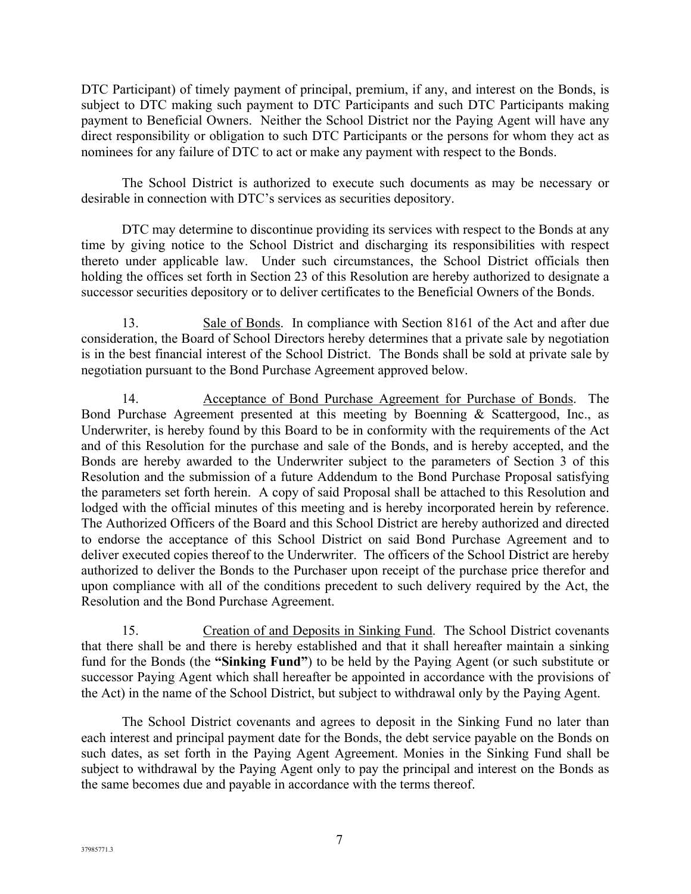DTC Participant) of timely payment of principal, premium, if any, and interest on the Bonds, is subject to DTC making such payment to DTC Participants and such DTC Participants making payment to Beneficial Owners. Neither the School District nor the Paying Agent will have any direct responsibility or obligation to such DTC Participants or the persons for whom they act as nominees for any failure of DTC to act or make any payment with respect to the Bonds.

The School District is authorized to execute such documents as may be necessary or desirable in connection with DTC's services as securities depository.

DTC may determine to discontinue providing its services with respect to the Bonds at any time by giving notice to the School District and discharging its responsibilities with respect thereto under applicable law. Under such circumstances, the School District officials then holding the offices set forth in Section 23 of this Resolution are hereby authorized to designate a successor securities depository or to deliver certificates to the Beneficial Owners of the Bonds.

13. Sale of Bonds. In compliance with Section 8161 of the Act and after due consideration, the Board of School Directors hereby determines that a private sale by negotiation is in the best financial interest of the School District. The Bonds shall be sold at private sale by negotiation pursuant to the Bond Purchase Agreement approved below.

14. Acceptance of Bond Purchase Agreement for Purchase of Bonds. The Bond Purchase Agreement presented at this meeting by Boenning & Scattergood, Inc., as Underwriter, is hereby found by this Board to be in conformity with the requirements of the Act and of this Resolution for the purchase and sale of the Bonds, and is hereby accepted, and the Bonds are hereby awarded to the Underwriter subject to the parameters of Section 3 of this Resolution and the submission of a future Addendum to the Bond Purchase Proposal satisfying the parameters set forth herein. A copy of said Proposal shall be attached to this Resolution and lodged with the official minutes of this meeting and is hereby incorporated herein by reference. The Authorized Officers of the Board and this School District are hereby authorized and directed to endorse the acceptance of this School District on said Bond Purchase Agreement and to deliver executed copies thereof to the Underwriter. The officers of the School District are hereby authorized to deliver the Bonds to the Purchaser upon receipt of the purchase price therefor and upon compliance with all of the conditions precedent to such delivery required by the Act, the Resolution and the Bond Purchase Agreement.

15. Creation of and Deposits in Sinking Fund. The School District covenants that there shall be and there is hereby established and that it shall hereafter maintain a sinking fund for the Bonds (the **"Sinking Fund"**) to be held by the Paying Agent (or such substitute or successor Paying Agent which shall hereafter be appointed in accordance with the provisions of the Act) in the name of the School District, but subject to withdrawal only by the Paying Agent.

The School District covenants and agrees to deposit in the Sinking Fund no later than each interest and principal payment date for the Bonds, the debt service payable on the Bonds on such dates, as set forth in the Paying Agent Agreement. Monies in the Sinking Fund shall be subject to withdrawal by the Paying Agent only to pay the principal and interest on the Bonds as the same becomes due and payable in accordance with the terms thereof.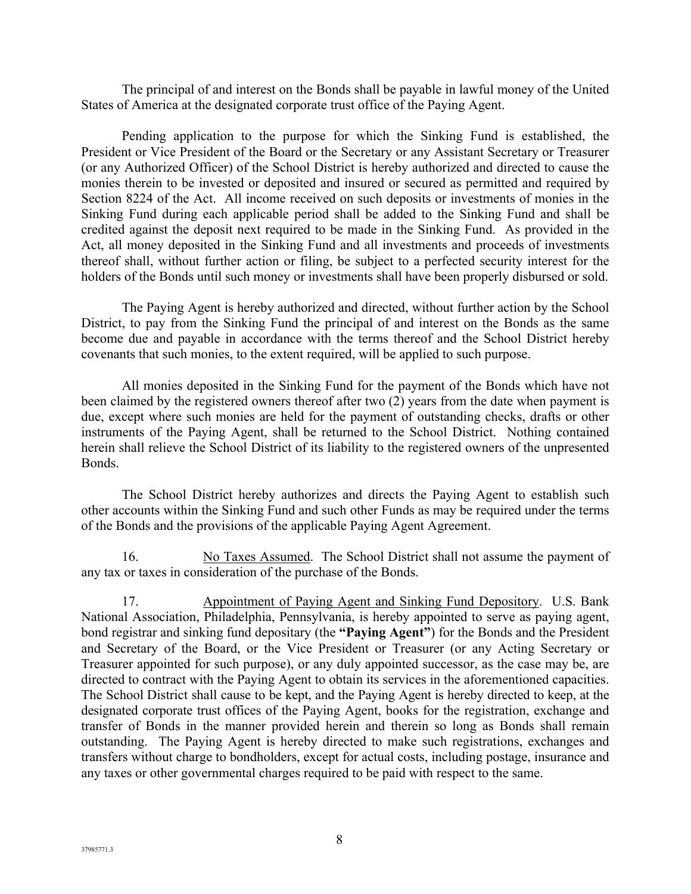The principal of and interest on the Bonds shall be payable in lawful money of the United States of America at the designated corporate trust office of the Paying Agent.

Pending application to the purpose for which the Sinking Fund is established, the President or Vice President of the Board or the Secretary or any Assistant Secretary or Treasurer (or any Authorized Officer) of the School District is hereby authorized and directed to cause the monies therein to be invested or deposited and insured or secured as permitted and required by Section 8224 of the Act. All income received on such deposits or investments of monies in the Sinking Fund during each applicable period shall be added to the Sinking Fund and shall be credited against the deposit next required to be made in the Sinking Fund. As provided in the Act, all money deposited in the Sinking Fund and all investments and proceeds of investments thereof shall, without further action or filing, be subject to a perfected security interest for the holders of the Bonds until such money or investments shall have been properly disbursed or sold.

The Paying Agent is hereby authorized and directed, without further action by the School District, to pay from the Sinking Fund the principal of and interest on the Bonds as the same become due and payable in accordance with the terms thereof and the School District hereby covenants that such monies, to the extent required, will be applied to such purpose.

All monies deposited in the Sinking Fund for the payment of the Bonds which have not been claimed by the registered owners thereof after two (2) years from the date when payment is due, except where such monies are held for the payment of outstanding checks, drafts or other instruments of the Paying Agent, shall be returned to the School District. Nothing contained herein shall relieve the School District of its liability to the registered owners of the unpresented Bonds.

The School District hereby authorizes and directs the Paying Agent to establish such other accounts within the Sinking Fund and such other Funds as may be required under the terms of the Bonds and the provisions of the applicable Paying Agent Agreement.

16. No Taxes Assumed. The School District shall not assume the payment of any tax or taxes in consideration of the purchase of the Bonds.

17. Appointment of Paying Agent and Sinking Fund Depository. U.S. Bank National Association, Philadelphia, Pennsylvania, is hereby appointed to serve as paying agent, bond registrar and sinking fund depositary (the **"Paying Agent"**) for the Bonds and the President and Secretary of the Board, or the Vice President or Treasurer (or any Acting Secretary or Treasurer appointed for such purpose), or any duly appointed successor, as the case may be, are directed to contract with the Paying Agent to obtain its services in the aforementioned capacities. The School District shall cause to be kept, and the Paying Agent is hereby directed to keep, at the designated corporate trust offices of the Paying Agent, books for the registration, exchange and transfer of Bonds in the manner provided herein and therein so long as Bonds shall remain outstanding. The Paying Agent is hereby directed to make such registrations, exchanges and transfers without charge to bondholders, except for actual costs, including postage, insurance and any taxes or other governmental charges required to be paid with respect to the same.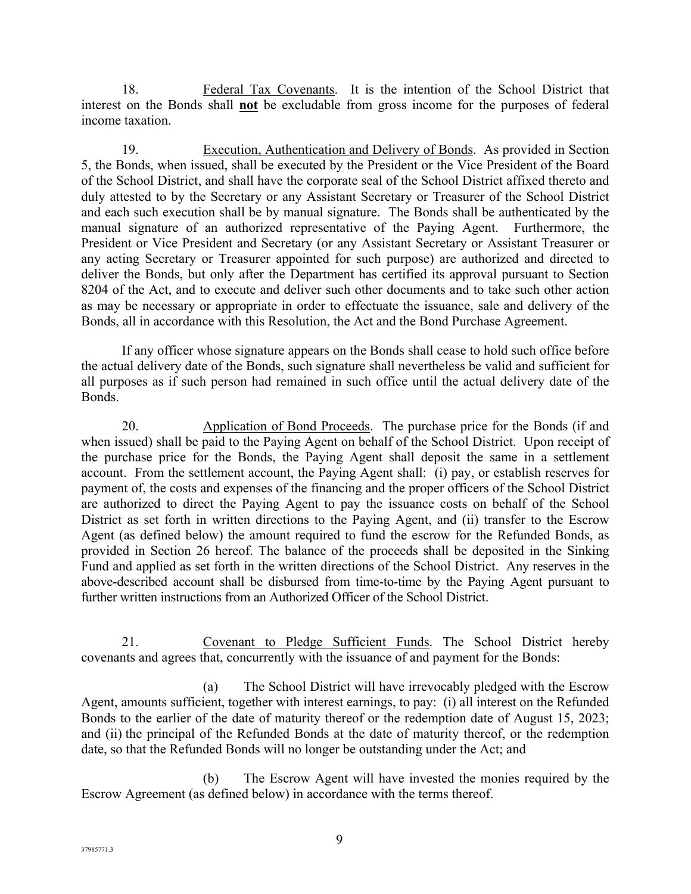18. Federal Tax Covenants. It is the intention of the School District that interest on the Bonds shall **not** be excludable from gross income for the purposes of federal income taxation.

19. Execution, Authentication and Delivery of Bonds. As provided in Section 5, the Bonds, when issued, shall be executed by the President or the Vice President of the Board of the School District, and shall have the corporate seal of the School District affixed thereto and duly attested to by the Secretary or any Assistant Secretary or Treasurer of the School District and each such execution shall be by manual signature. The Bonds shall be authenticated by the manual signature of an authorized representative of the Paying Agent. Furthermore, the President or Vice President and Secretary (or any Assistant Secretary or Assistant Treasurer or any acting Secretary or Treasurer appointed for such purpose) are authorized and directed to deliver the Bonds, but only after the Department has certified its approval pursuant to Section 8204 of the Act, and to execute and deliver such other documents and to take such other action as may be necessary or appropriate in order to effectuate the issuance, sale and delivery of the Bonds, all in accordance with this Resolution, the Act and the Bond Purchase Agreement.

If any officer whose signature appears on the Bonds shall cease to hold such office before the actual delivery date of the Bonds, such signature shall nevertheless be valid and sufficient for all purposes as if such person had remained in such office until the actual delivery date of the Bonds.

20. Application of Bond Proceeds. The purchase price for the Bonds (if and when issued) shall be paid to the Paying Agent on behalf of the School District. Upon receipt of the purchase price for the Bonds, the Paying Agent shall deposit the same in a settlement account. From the settlement account, the Paying Agent shall: (i) pay, or establish reserves for payment of, the costs and expenses of the financing and the proper officers of the School District are authorized to direct the Paying Agent to pay the issuance costs on behalf of the School District as set forth in written directions to the Paying Agent, and (ii) transfer to the Escrow Agent (as defined below) the amount required to fund the escrow for the Refunded Bonds, as provided in Section 26 hereof. The balance of the proceeds shall be deposited in the Sinking Fund and applied as set forth in the written directions of the School District. Any reserves in the above-described account shall be disbursed from time-to-time by the Paying Agent pursuant to further written instructions from an Authorized Officer of the School District.

21. Covenant to Pledge Sufficient Funds. The School District hereby covenants and agrees that, concurrently with the issuance of and payment for the Bonds:

(a) The School District will have irrevocably pledged with the Escrow Agent, amounts sufficient, together with interest earnings, to pay: (i) all interest on the Refunded Bonds to the earlier of the date of maturity thereof or the redemption date of August 15, 2023; and (ii) the principal of the Refunded Bonds at the date of maturity thereof, or the redemption date, so that the Refunded Bonds will no longer be outstanding under the Act; and

(b) The Escrow Agent will have invested the monies required by the Escrow Agreement (as defined below) in accordance with the terms thereof.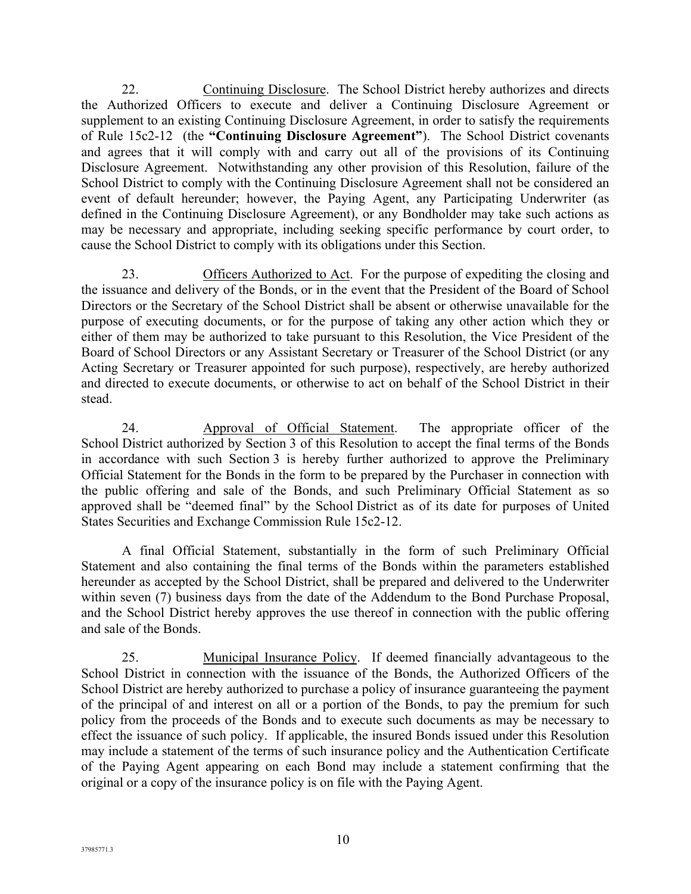22. Continuing Disclosure. The School District hereby authorizes and directs the Authorized Officers to execute and deliver a Continuing Disclosure Agreement or supplement to an existing Continuing Disclosure Agreement, in order to satisfy the requirements of Rule 15c2-12 (the **"Continuing Disclosure Agreement"**). The School District covenants and agrees that it will comply with and carry out all of the provisions of its Continuing Disclosure Agreement. Notwithstanding any other provision of this Resolution, failure of the School District to comply with the Continuing Disclosure Agreement shall not be considered an event of default hereunder; however, the Paying Agent, any Participating Underwriter (as defined in the Continuing Disclosure Agreement), or any Bondholder may take such actions as may be necessary and appropriate, including seeking specific performance by court order, to cause the School District to comply with its obligations under this Section.

23. Officers Authorized to Act. For the purpose of expediting the closing and the issuance and delivery of the Bonds, or in the event that the President of the Board of School Directors or the Secretary of the School District shall be absent or otherwise unavailable for the purpose of executing documents, or for the purpose of taking any other action which they or either of them may be authorized to take pursuant to this Resolution, the Vice President of the Board of School Directors or any Assistant Secretary or Treasurer of the School District (or any Acting Secretary or Treasurer appointed for such purpose), respectively, are hereby authorized and directed to execute documents, or otherwise to act on behalf of the School District in their stead.

24. Approval of Official Statement. The appropriate officer of the School District authorized by Section 3 of this Resolution to accept the final terms of the Bonds in accordance with such Section 3 is hereby further authorized to approve the Preliminary Official Statement for the Bonds in the form to be prepared by the Purchaser in connection with the public offering and sale of the Bonds, and such Preliminary Official Statement as so approved shall be "deemed final" by the School District as of its date for purposes of United States Securities and Exchange Commission Rule 15c2-12.

A final Official Statement, substantially in the form of such Preliminary Official Statement and also containing the final terms of the Bonds within the parameters established hereunder as accepted by the School District, shall be prepared and delivered to the Underwriter within seven (7) business days from the date of the Addendum to the Bond Purchase Proposal, and the School District hereby approves the use thereof in connection with the public offering and sale of the Bonds.

25. Municipal Insurance Policy. If deemed financially advantageous to the School District in connection with the issuance of the Bonds, the Authorized Officers of the School District are hereby authorized to purchase a policy of insurance guaranteeing the payment of the principal of and interest on all or a portion of the Bonds, to pay the premium for such policy from the proceeds of the Bonds and to execute such documents as may be necessary to effect the issuance of such policy. If applicable, the insured Bonds issued under this Resolution may include a statement of the terms of such insurance policy and the Authentication Certificate of the Paying Agent appearing on each Bond may include a statement confirming that the original or a copy of the insurance policy is on file with the Paying Agent.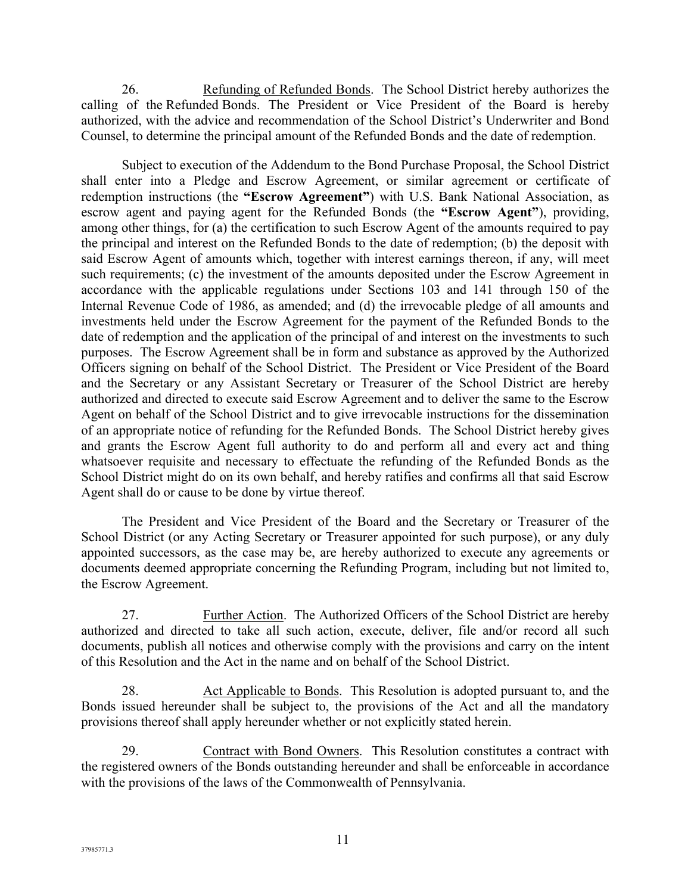26. Refunding of Refunded Bonds. The School District hereby authorizes the calling of the Refunded Bonds. The President or Vice President of the Board is hereby authorized, with the advice and recommendation of the School District's Underwriter and Bond Counsel, to determine the principal amount of the Refunded Bonds and the date of redemption.

Subject to execution of the Addendum to the Bond Purchase Proposal, the School District shall enter into a Pledge and Escrow Agreement, or similar agreement or certificate of redemption instructions (the **"Escrow Agreement"**) with U.S. Bank National Association, as escrow agent and paying agent for the Refunded Bonds (the **"Escrow Agent"**), providing, among other things, for (a) the certification to such Escrow Agent of the amounts required to pay the principal and interest on the Refunded Bonds to the date of redemption; (b) the deposit with said Escrow Agent of amounts which, together with interest earnings thereon, if any, will meet such requirements; (c) the investment of the amounts deposited under the Escrow Agreement in accordance with the applicable regulations under Sections 103 and 141 through 150 of the Internal Revenue Code of 1986, as amended; and (d) the irrevocable pledge of all amounts and investments held under the Escrow Agreement for the payment of the Refunded Bonds to the date of redemption and the application of the principal of and interest on the investments to such purposes. The Escrow Agreement shall be in form and substance as approved by the Authorized Officers signing on behalf of the School District. The President or Vice President of the Board and the Secretary or any Assistant Secretary or Treasurer of the School District are hereby authorized and directed to execute said Escrow Agreement and to deliver the same to the Escrow Agent on behalf of the School District and to give irrevocable instructions for the dissemination of an appropriate notice of refunding for the Refunded Bonds. The School District hereby gives and grants the Escrow Agent full authority to do and perform all and every act and thing whatsoever requisite and necessary to effectuate the refunding of the Refunded Bonds as the School District might do on its own behalf, and hereby ratifies and confirms all that said Escrow Agent shall do or cause to be done by virtue thereof.

The President and Vice President of the Board and the Secretary or Treasurer of the School District (or any Acting Secretary or Treasurer appointed for such purpose), or any duly appointed successors, as the case may be, are hereby authorized to execute any agreements or documents deemed appropriate concerning the Refunding Program, including but not limited to, the Escrow Agreement.

27. Further Action. The Authorized Officers of the School District are hereby authorized and directed to take all such action, execute, deliver, file and/or record all such documents, publish all notices and otherwise comply with the provisions and carry on the intent of this Resolution and the Act in the name and on behalf of the School District.

28. Act Applicable to Bonds. This Resolution is adopted pursuant to, and the Bonds issued hereunder shall be subject to, the provisions of the Act and all the mandatory provisions thereof shall apply hereunder whether or not explicitly stated herein.

29. Contract with Bond Owners. This Resolution constitutes a contract with the registered owners of the Bonds outstanding hereunder and shall be enforceable in accordance with the provisions of the laws of the Commonwealth of Pennsylvania.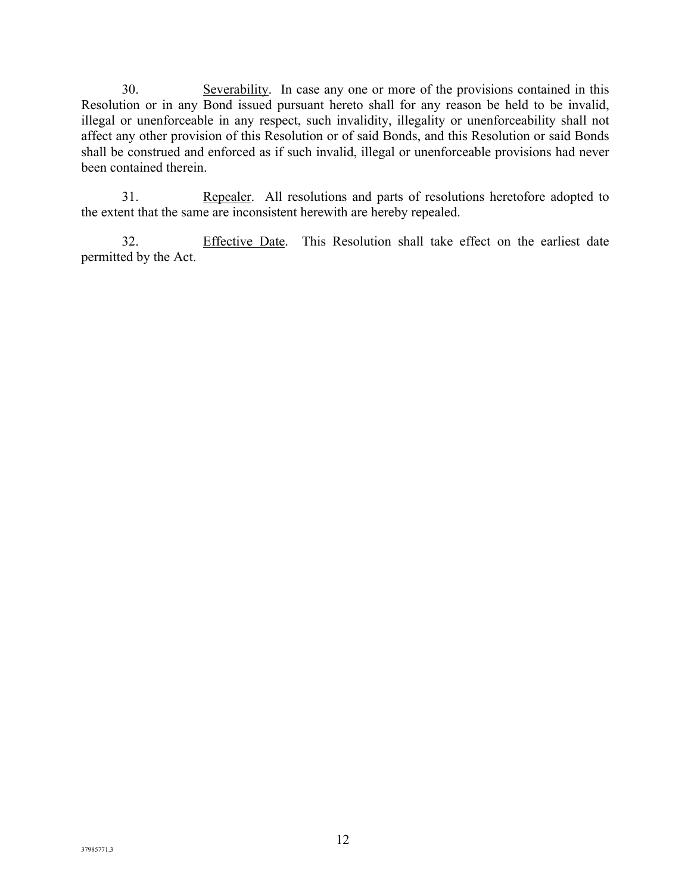30. Severability. In case any one or more of the provisions contained in this Resolution or in any Bond issued pursuant hereto shall for any reason be held to be invalid, illegal or unenforceable in any respect, such invalidity, illegality or unenforceability shall not affect any other provision of this Resolution or of said Bonds, and this Resolution or said Bonds shall be construed and enforced as if such invalid, illegal or unenforceable provisions had never been contained therein.

31. Repealer. All resolutions and parts of resolutions heretofore adopted to the extent that the same are inconsistent herewith are hereby repealed.

32. Effective Date. This Resolution shall take effect on the earliest date permitted by the Act.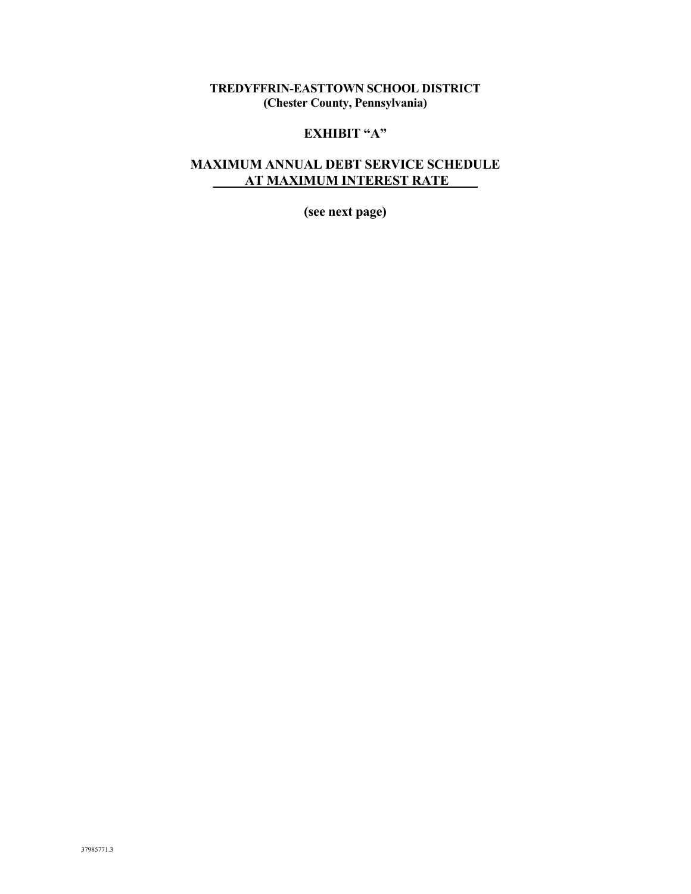## **TREDYFFRIN-EASTTOWN SCHOOL DISTRICT (Chester County, Pennsylvania)**

# **EXHIBIT "A"**

## **MAXIMUM ANNUAL DEBT SERVICE SCHEDULE AT MAXIMUM INTEREST RATE**

**(see next page)**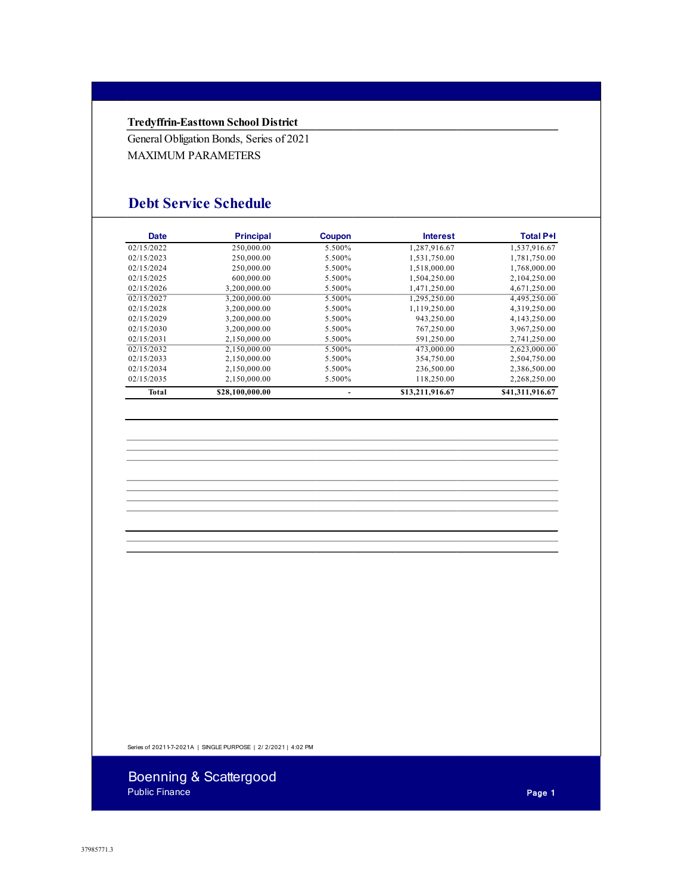#### **Tredyffrin-Easttown School District**

General Obligation Bonds, Series of 2021 MAXIMUM PARAMETERS

# **Debt Service Schedule**

| Date       | <b>Principal</b> | Coupon | <b>Interest</b> | <b>Total P+I</b> |  |
|------------|------------------|--------|-----------------|------------------|--|
| 02/15/2022 | 250,000.00       | 5.500% | 1,287,916.67    | 1,537,916.67     |  |
| 02/15/2023 | 250,000.00       | 5.500% | 1,531,750.00    | 1,781,750.00     |  |
| 02/15/2024 | 250,000.00       | 5.500% | 1,518,000.00    | 1,768,000.00     |  |
| 02/15/2025 | 600,000.00       | 5.500% | 1,504,250.00    | 2,104,250.00     |  |
| 02/15/2026 | 3.200.000.00     | 5.500% | 1,471,250.00    | 4,671,250.00     |  |
| 02/15/2027 | 3,200,000.00     | 5.500% | 1,295,250.00    | 4,495,250.00     |  |
| 02/15/2028 | 3.200.000.00     | 5.500% | 1.119.250.00    | 4,319,250.00     |  |
| 02/15/2029 | 3.200.000.00     | 5.500% | 943.250.00      | 4.143.250.00     |  |
| 02/15/2030 | 3.200.000.00     | 5.500% | 767,250.00      | 3,967,250.00     |  |
| 02/15/2031 | 2.150.000.00     | 5.500% | 591,250.00      | 2,741,250.00     |  |
| 02/15/2032 | 2.150.000.00     | 5.500% | 473,000.00      | 2.623.000.00     |  |
| 02/15/2033 | 2.150.000.00     | 5.500% | 354,750.00      | 2,504,750.00     |  |
| 02/15/2034 | 2,150,000.00     | 5.500% | 236,500.00      | 2,386,500.00     |  |
| 02/15/2035 | 2.150.000.00     | 5.500% | 118,250.00      | 2,268,250.00     |  |
| Total      | \$28,100,000.00  |        | \$13,211,916.67 | \$41,311,916.67  |  |

Series of 20211-7-2021A | SINGLE PURPOSE | 2/ 2/2021 | 4:02 PM

Boenning & Scattergood Public Finance **Page 1**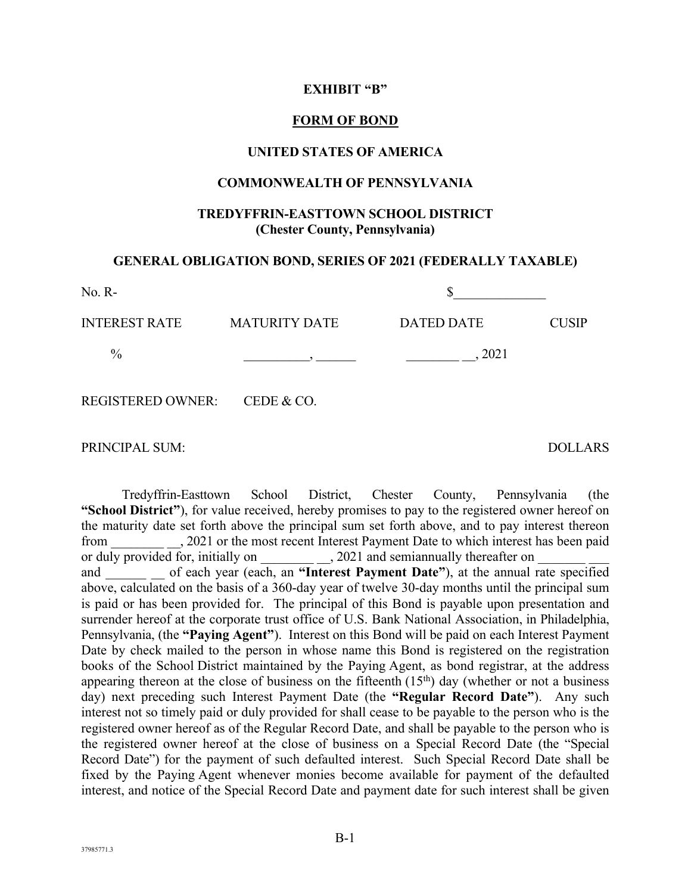#### **EXHIBIT "B"**

#### **FORM OF BOND**

#### **UNITED STATES OF AMERICA**

#### **COMMONWEALTH OF PENNSYLVANIA**

### **TREDYFFRIN-EASTTOWN SCHOOL DISTRICT (Chester County, Pennsylvania)**

#### **GENERAL OBLIGATION BOND, SERIES OF 2021 (FEDERALLY TAXABLE)**

| $No. R-$                     |                      |                   |              |
|------------------------------|----------------------|-------------------|--------------|
| <b>INTEREST RATE</b>         | <b>MATURITY DATE</b> | <b>DATED DATE</b> | <b>CUSIP</b> |
| $\frac{0}{0}$                |                      | 2021              |              |
| REGISTERED OWNER: CEDE & CO. |                      |                   |              |

PRINCIPAL SUM: DOLLARS

Tredyffrin-Easttown School District, Chester County, Pennsylvania (the **"School District"**), for value received, hereby promises to pay to the registered owner hereof on the maturity date set forth above the principal sum set forth above, and to pay interest thereon from \_\_\_\_\_\_\_\_ \_\_, 2021 or the most recent Interest Payment Date to which interest has been paid or duly provided for, initially on \_\_\_\_\_\_\_\_\_\_\_\_, 2021 and semiannually thereafter on and of each year (each, an "Interest Payment Date"), at the annual rate specified above, calculated on the basis of a 360-day year of twelve 30-day months until the principal sum is paid or has been provided for. The principal of this Bond is payable upon presentation and surrender hereof at the corporate trust office of U.S. Bank National Association, in Philadelphia, Pennsylvania, (the **"Paying Agent"**). Interest on this Bond will be paid on each Interest Payment Date by check mailed to the person in whose name this Bond is registered on the registration books of the School District maintained by the Paying Agent, as bond registrar, at the address appearing thereon at the close of business on the fifteenth  $(15<sup>th</sup>)$  day (whether or not a business day) next preceding such Interest Payment Date (the **"Regular Record Date"**). Any such interest not so timely paid or duly provided for shall cease to be payable to the person who is the registered owner hereof as of the Regular Record Date, and shall be payable to the person who is the registered owner hereof at the close of business on a Special Record Date (the "Special Record Date") for the payment of such defaulted interest. Such Special Record Date shall be fixed by the Paying Agent whenever monies become available for payment of the defaulted interest, and notice of the Special Record Date and payment date for such interest shall be given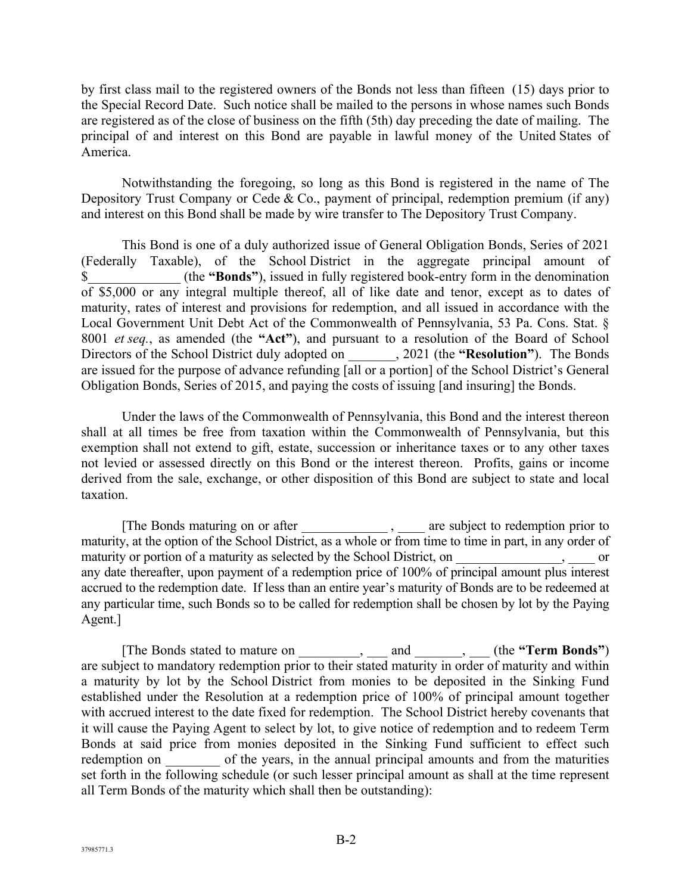by first class mail to the registered owners of the Bonds not less than fifteen (15) days prior to the Special Record Date. Such notice shall be mailed to the persons in whose names such Bonds are registered as of the close of business on the fifth (5th) day preceding the date of mailing. The principal of and interest on this Bond are payable in lawful money of the United States of America.

Notwithstanding the foregoing, so long as this Bond is registered in the name of The Depository Trust Company or Cede & Co., payment of principal, redemption premium (if any) and interest on this Bond shall be made by wire transfer to The Depository Trust Company.

This Bond is one of a duly authorized issue of General Obligation Bonds, Series of 2021 (Federally Taxable), of the School District in the aggregate principal amount of \$\_\_\_\_\_\_\_\_\_\_\_\_\_\_ (the **"Bonds"**), issued in fully registered book-entry form in the denomination of \$5,000 or any integral multiple thereof, all of like date and tenor, except as to dates of maturity, rates of interest and provisions for redemption, and all issued in accordance with the Local Government Unit Debt Act of the Commonwealth of Pennsylvania, 53 Pa. Cons. Stat. § 8001 *et seq.*, as amended (the **"Act"**), and pursuant to a resolution of the Board of School Directors of the School District duly adopted on \_\_\_\_\_\_\_, 2021 (the **"Resolution"**). The Bonds are issued for the purpose of advance refunding [all or a portion] of the School District's General Obligation Bonds, Series of 2015, and paying the costs of issuing [and insuring] the Bonds.

Under the laws of the Commonwealth of Pennsylvania, this Bond and the interest thereon shall at all times be free from taxation within the Commonwealth of Pennsylvania, but this exemption shall not extend to gift, estate, succession or inheritance taxes or to any other taxes not levied or assessed directly on this Bond or the interest thereon. Profits, gains or income derived from the sale, exchange, or other disposition of this Bond are subject to state and local taxation.

[The Bonds maturing on or after \_\_\_\_\_\_\_\_\_\_\_\_\_\_\_\_\_\_, \_\_\_\_\_ are subject to redemption prior to maturity, at the option of the School District, as a whole or from time to time in part, in any order of maturity or portion of a maturity as selected by the School District, on \_\_\_\_\_\_\_\_\_\_\_\_\_, \_\_\_\_\_ or any date thereafter, upon payment of a redemption price of 100% of principal amount plus interest accrued to the redemption date. If less than an entire year's maturity of Bonds are to be redeemed at any particular time, such Bonds so to be called for redemption shall be chosen by lot by the Paying Agent.]

[The Bonds stated to mature on \_\_\_\_\_\_\_\_\_, \_\_\_ and \_\_\_\_\_\_\_, \_\_\_ (the **"Term Bonds"**) are subject to mandatory redemption prior to their stated maturity in order of maturity and within a maturity by lot by the School District from monies to be deposited in the Sinking Fund established under the Resolution at a redemption price of 100% of principal amount together with accrued interest to the date fixed for redemption. The School District hereby covenants that it will cause the Paying Agent to select by lot, to give notice of redemption and to redeem Term Bonds at said price from monies deposited in the Sinking Fund sufficient to effect such redemption on \_\_\_\_\_\_\_\_ of the years, in the annual principal amounts and from the maturities set forth in the following schedule (or such lesser principal amount as shall at the time represent all Term Bonds of the maturity which shall then be outstanding):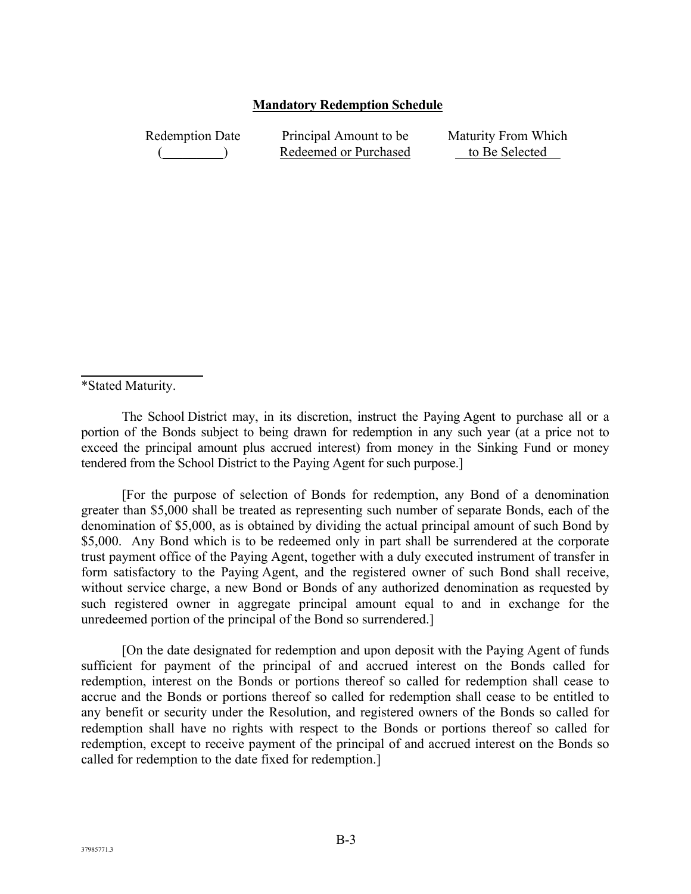#### **Mandatory Redemption Schedule**

Redemption Date  $($ Principal Amount to be Redeemed or Purchased Maturity From Which to Be Selected

\*Stated Maturity.

The School District may, in its discretion, instruct the Paying Agent to purchase all or a portion of the Bonds subject to being drawn for redemption in any such year (at a price not to exceed the principal amount plus accrued interest) from money in the Sinking Fund or money tendered from the School District to the Paying Agent for such purpose.]

[For the purpose of selection of Bonds for redemption, any Bond of a denomination greater than \$5,000 shall be treated as representing such number of separate Bonds, each of the denomination of \$5,000, as is obtained by dividing the actual principal amount of such Bond by \$5,000. Any Bond which is to be redeemed only in part shall be surrendered at the corporate trust payment office of the Paying Agent, together with a duly executed instrument of transfer in form satisfactory to the Paying Agent, and the registered owner of such Bond shall receive, without service charge, a new Bond or Bonds of any authorized denomination as requested by such registered owner in aggregate principal amount equal to and in exchange for the unredeemed portion of the principal of the Bond so surrendered.]

[On the date designated for redemption and upon deposit with the Paying Agent of funds sufficient for payment of the principal of and accrued interest on the Bonds called for redemption, interest on the Bonds or portions thereof so called for redemption shall cease to accrue and the Bonds or portions thereof so called for redemption shall cease to be entitled to any benefit or security under the Resolution, and registered owners of the Bonds so called for redemption shall have no rights with respect to the Bonds or portions thereof so called for redemption, except to receive payment of the principal of and accrued interest on the Bonds so called for redemption to the date fixed for redemption.]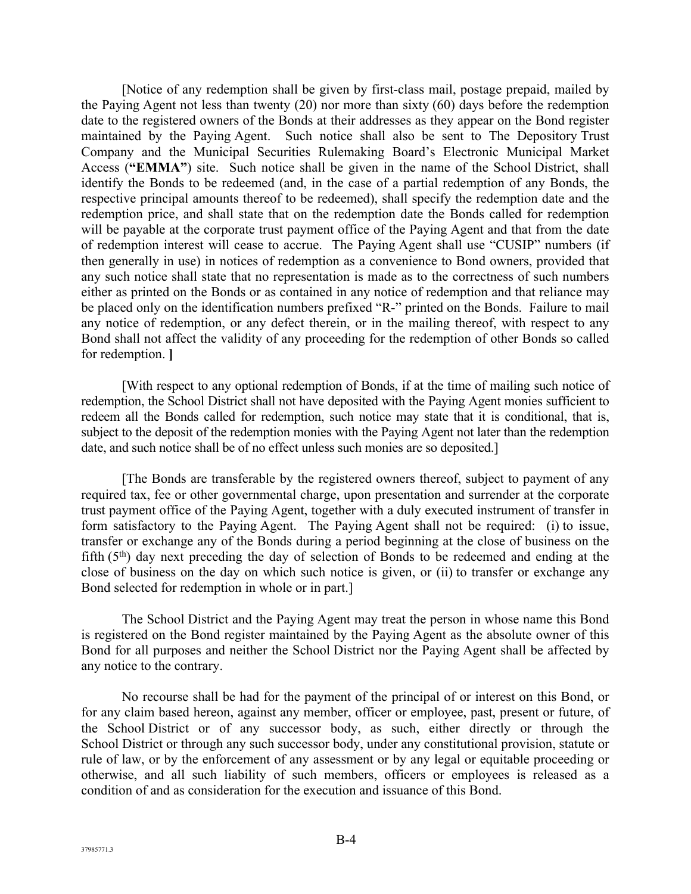[Notice of any redemption shall be given by first-class mail, postage prepaid, mailed by the Paying Agent not less than twenty (20) nor more than sixty (60) days before the redemption date to the registered owners of the Bonds at their addresses as they appear on the Bond register maintained by the Paying Agent. Such notice shall also be sent to The Depository Trust Company and the Municipal Securities Rulemaking Board's Electronic Municipal Market Access (**"EMMA"**) site. Such notice shall be given in the name of the School District, shall identify the Bonds to be redeemed (and, in the case of a partial redemption of any Bonds, the respective principal amounts thereof to be redeemed), shall specify the redemption date and the redemption price, and shall state that on the redemption date the Bonds called for redemption will be payable at the corporate trust payment office of the Paying Agent and that from the date of redemption interest will cease to accrue. The Paying Agent shall use "CUSIP" numbers (if then generally in use) in notices of redemption as a convenience to Bond owners, provided that any such notice shall state that no representation is made as to the correctness of such numbers either as printed on the Bonds or as contained in any notice of redemption and that reliance may be placed only on the identification numbers prefixed "R-" printed on the Bonds. Failure to mail any notice of redemption, or any defect therein, or in the mailing thereof, with respect to any Bond shall not affect the validity of any proceeding for the redemption of other Bonds so called for redemption. **]**

[With respect to any optional redemption of Bonds, if at the time of mailing such notice of redemption, the School District shall not have deposited with the Paying Agent monies sufficient to redeem all the Bonds called for redemption, such notice may state that it is conditional, that is, subject to the deposit of the redemption monies with the Paying Agent not later than the redemption date, and such notice shall be of no effect unless such monies are so deposited.]

[The Bonds are transferable by the registered owners thereof, subject to payment of any required tax, fee or other governmental charge, upon presentation and surrender at the corporate trust payment office of the Paying Agent, together with a duly executed instrument of transfer in form satisfactory to the Paying Agent. The Paying Agent shall not be required: (i) to issue, transfer or exchange any of the Bonds during a period beginning at the close of business on the fifth  $(5<sup>th</sup>)$  day next preceding the day of selection of Bonds to be redeemed and ending at the close of business on the day on which such notice is given, or (ii) to transfer or exchange any Bond selected for redemption in whole or in part.]

The School District and the Paying Agent may treat the person in whose name this Bond is registered on the Bond register maintained by the Paying Agent as the absolute owner of this Bond for all purposes and neither the School District nor the Paying Agent shall be affected by any notice to the contrary.

No recourse shall be had for the payment of the principal of or interest on this Bond, or for any claim based hereon, against any member, officer or employee, past, present or future, of the School District or of any successor body, as such, either directly or through the School District or through any such successor body, under any constitutional provision, statute or rule of law, or by the enforcement of any assessment or by any legal or equitable proceeding or otherwise, and all such liability of such members, officers or employees is released as a condition of and as consideration for the execution and issuance of this Bond.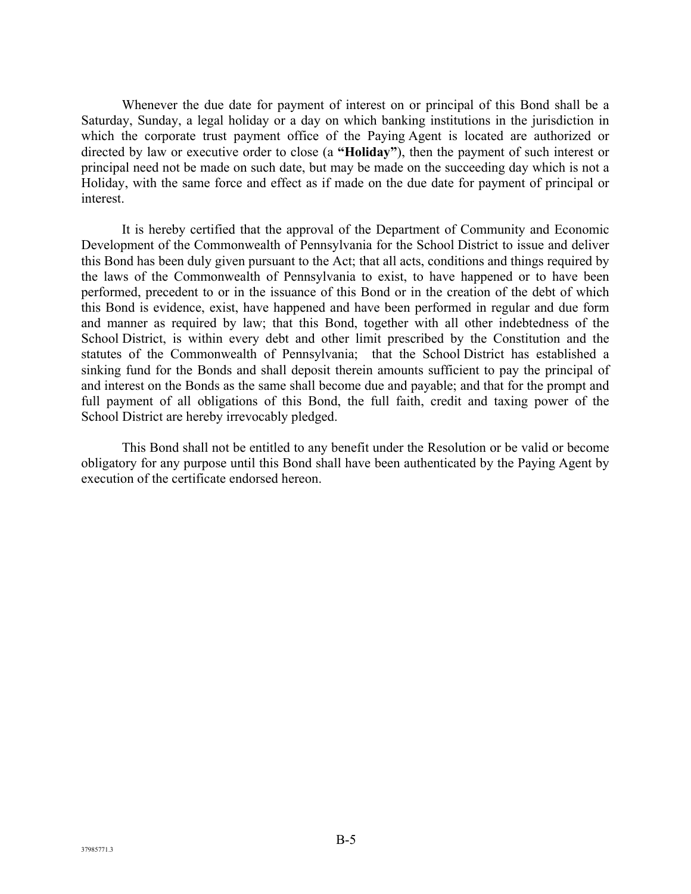Whenever the due date for payment of interest on or principal of this Bond shall be a Saturday, Sunday, a legal holiday or a day on which banking institutions in the jurisdiction in which the corporate trust payment office of the Paying Agent is located are authorized or directed by law or executive order to close (a **"Holiday"**), then the payment of such interest or principal need not be made on such date, but may be made on the succeeding day which is not a Holiday, with the same force and effect as if made on the due date for payment of principal or interest.

It is hereby certified that the approval of the Department of Community and Economic Development of the Commonwealth of Pennsylvania for the School District to issue and deliver this Bond has been duly given pursuant to the Act; that all acts, conditions and things required by the laws of the Commonwealth of Pennsylvania to exist, to have happened or to have been performed, precedent to or in the issuance of this Bond or in the creation of the debt of which this Bond is evidence, exist, have happened and have been performed in regular and due form and manner as required by law; that this Bond, together with all other indebtedness of the School District, is within every debt and other limit prescribed by the Constitution and the statutes of the Commonwealth of Pennsylvania; that the School District has established a sinking fund for the Bonds and shall deposit therein amounts sufficient to pay the principal of and interest on the Bonds as the same shall become due and payable; and that for the prompt and full payment of all obligations of this Bond, the full faith, credit and taxing power of the School District are hereby irrevocably pledged.

This Bond shall not be entitled to any benefit under the Resolution or be valid or become obligatory for any purpose until this Bond shall have been authenticated by the Paying Agent by execution of the certificate endorsed hereon.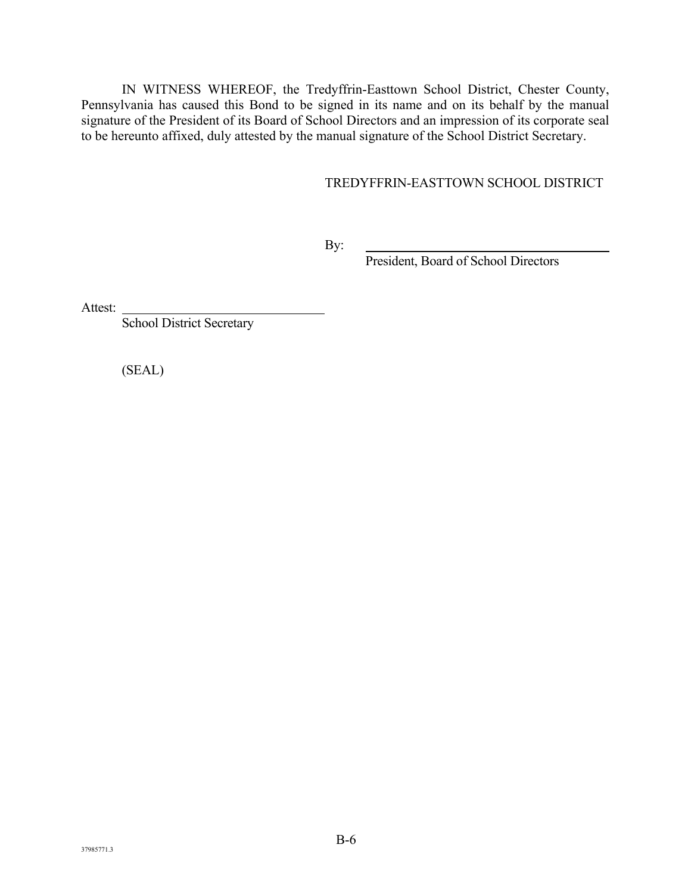IN WITNESS WHEREOF, the Tredyffrin-Easttown School District, Chester County, Pennsylvania has caused this Bond to be signed in its name and on its behalf by the manual signature of the President of its Board of School Directors and an impression of its corporate seal to be hereunto affixed, duly attested by the manual signature of the School District Secretary.

### TREDYFFRIN-EASTTOWN SCHOOL DISTRICT

By:

President, Board of School Directors

Attest:

School District Secretary

(SEAL)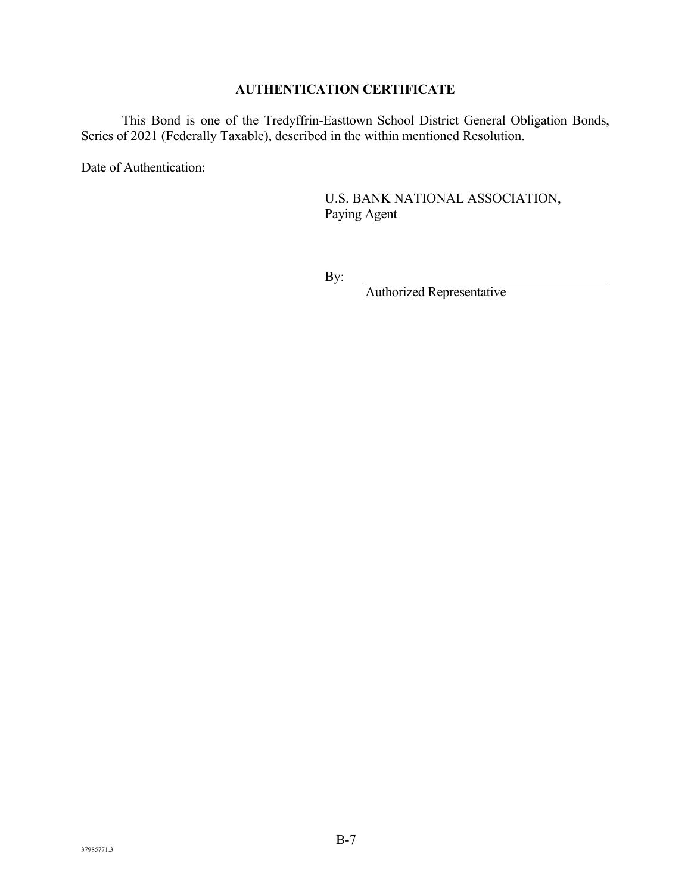## **AUTHENTICATION CERTIFICATE**

This Bond is one of the Tredyffrin-Easttown School District General Obligation Bonds, Series of 2021 (Federally Taxable), described in the within mentioned Resolution.

Date of Authentication:

U.S. BANK NATIONAL ASSOCIATION, Paying Agent

By:

Authorized Representative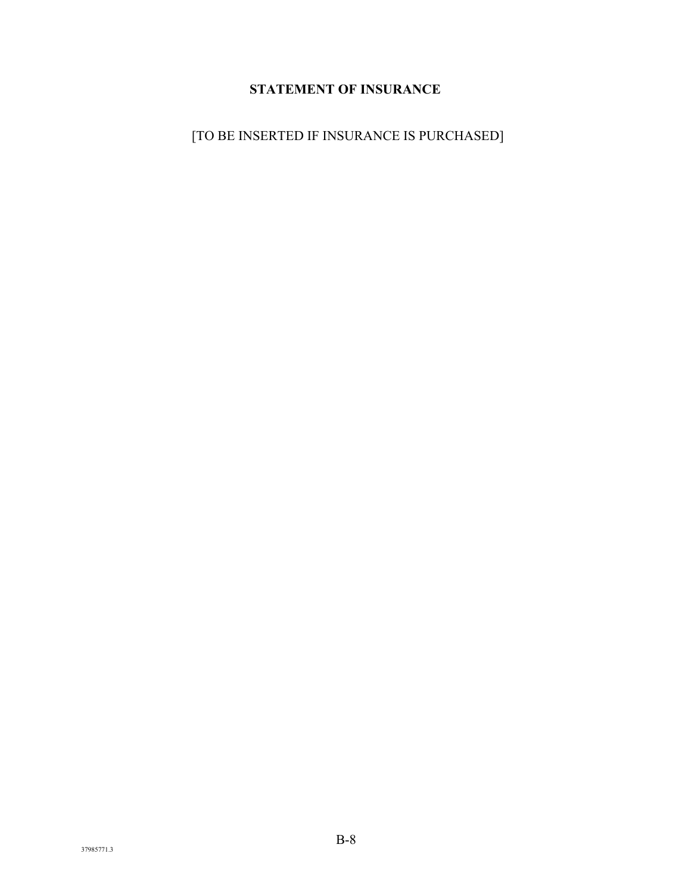# **STATEMENT OF INSURANCE**

[TO BE INSERTED IF INSURANCE IS PURCHASED]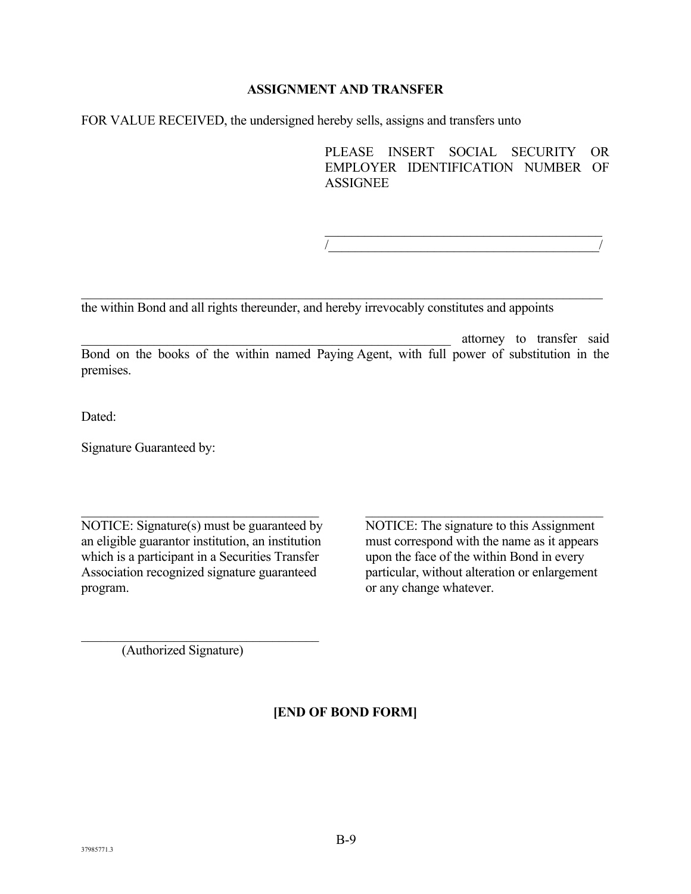#### **ASSIGNMENT AND TRANSFER**

FOR VALUE RECEIVED, the undersigned hereby sells, assigns and transfers unto

PLEASE INSERT SOCIAL SECURITY OR EMPLOYER IDENTIFICATION NUMBER OF **ASSIGNEE** 

 $/$ 

the within Bond and all rights thereunder, and hereby irrevocably constitutes and appoints

\_\_\_\_\_\_\_\_\_\_\_\_\_\_\_\_\_\_\_\_\_\_\_\_\_\_\_\_\_\_\_\_\_\_\_\_\_\_\_\_\_\_\_\_\_\_\_\_\_\_\_\_\_\_\_\_ attorney to transfer said Bond on the books of the within named Paying Agent, with full power of substitution in the premises.

Dated:

Signature Guaranteed by:

NOTICE: Signature(s) must be guaranteed by NOTICE: The signature to this Assignment an eligible guarantor institution, an institution must correspond with the name as it appears which is a participant in a Securities Transfer upon the face of the within Bond in every Association recognized signature guaranteed particular, without alteration or enlargement program. **b** any change whatever.

(Authorized Signature)

**[END OF BOND FORM]**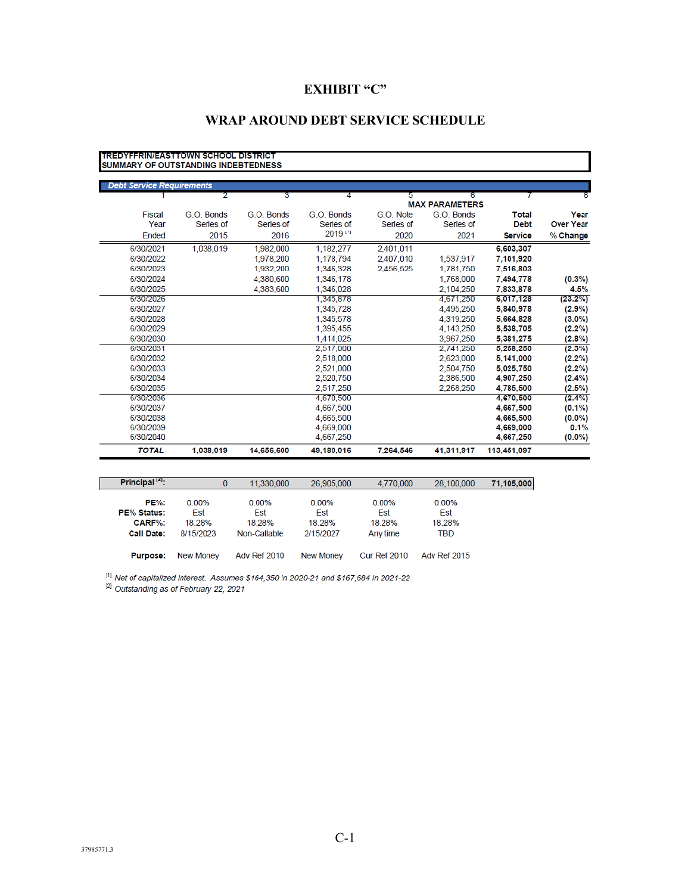## **EXHIBIT "C"**

# **WRAP AROUND DEBT SERVICE SCHEDULE**

|                  |                |                                     |           |                      |            | <b>TREDYFERIN/FAST TOWN SCHOOL DISTRICT</b><br>SUMMARY OF OUTSTANDING INDEBTEDNESS |                                  |
|------------------|----------------|-------------------------------------|-----------|----------------------|------------|------------------------------------------------------------------------------------|----------------------------------|
|                  |                |                                     |           |                      |            |                                                                                    | <b>Debt Service Requirements</b> |
| 8                |                | 6                                   | 5         | 4                    | 3          | 2                                                                                  |                                  |
| Year             | <b>Total</b>   | <b>MAX PARAMETERS</b><br>G.O. Bonds | G.O. Note | G.O. Bonds           | G.O. Bonds | G.O. Bonds                                                                         | <b>Fiscal</b>                    |
| <b>Over Year</b> | <b>Debt</b>    | Series of                           | Series of | Series of            | Series of  | Series of                                                                          | Year                             |
|                  |                |                                     |           | $2019$ <sup>19</sup> |            |                                                                                    |                                  |
| % Change         | <b>Service</b> | 2021                                | 2020      |                      | 2016       | 2015                                                                               | Ended                            |
|                  | 6,603,307      |                                     | 2,401,011 | 1.182.277            | 1,982,000  | 1.038.019                                                                          | 6/30/2021                        |
|                  | 7,101,920      | 1,537,917                           | 2,407,010 | 1,178,794            | 1,978,200  |                                                                                    | 6/30/2022                        |
|                  | 7.516.803      | 1,781,750                           | 2.456.525 | 1,346,328            | 1.932.200  |                                                                                    | 6/30/2023                        |
| $(0.3\%)$        | 7,494,778      | 1,768,000                           |           | 1,346,178            | 4,380,600  |                                                                                    | 6/30/2024                        |
| 4.5%             | 7.833.878      | 2.104.250                           |           | 1.346.028            | 4,383,600  |                                                                                    | 6/30/2025                        |
| $(23.2\%)$       | 6,017,128      | 4.671.250                           |           | 1,345,878            |            |                                                                                    | 6/30/2026                        |
| $(2.9\%)$        | 5,840,978      | 4.495.250                           |           | 1,345,728            |            |                                                                                    | 6/30/2027                        |
| $(3.0\%)$        | 5.664.828      | 4.319.250                           |           | 1.345.578            |            |                                                                                    | 6/30/2028                        |
| $(2.2\%)$        | 5,538,705      | 4,143,250                           |           | 1.395.455            |            |                                                                                    | 6/30/2029                        |
| $(2.8\%)$        | 5.381.275      | 3.967.250                           |           | 1.414.025            |            |                                                                                    | 6/30/2030                        |
| $(2.3\%)$        | 5.258.250      | 2.741.250                           |           | 2.517.000            |            |                                                                                    | 6/30/2031                        |
| $(2.2\%)$        | 5,141,000      | 2,623,000                           |           | 2,518,000            |            |                                                                                    | 6/30/2032                        |
| $(2.2\%)$        | 5.025.750      | 2,504.750                           |           | 2.521.000            |            |                                                                                    | 6/30/2033                        |
| (2.4%)           | 4.907.250      | 2.386.500                           |           | 2.520.750            |            |                                                                                    | 6/30/2034                        |
| $(2.5\%)$        | 4.785.500      | 2.268.250                           |           | 2.517.250            |            |                                                                                    | 6/30/2035                        |
| $(2.4\%)$        | 4.670.500      |                                     |           | 4.670.500            |            |                                                                                    | 6/30/2036                        |
| $(0.1\%)$        | 4,667,500      |                                     |           | 4,667,500            |            |                                                                                    | 6/30/2037                        |
| $(0.0\%)$        | 4.665.500      |                                     |           | 4,665,500            |            |                                                                                    | 6/30/2038                        |
| 0.1%             | 4.669.000      |                                     |           | 4.669.000            |            |                                                                                    | 6/30/2039                        |
| $(0.0\%)$        | 4,667,250      |                                     |           | 4,667,250            |            |                                                                                    | 6/30/2040                        |
|                  | 113,451,097    | 41,311,917                          | 7.264.546 | 49,180,016           | 14,656,600 | 1.038.019                                                                          | <b>TOTAL</b>                     |

| Principal <sup>14</sup> : |                  | 11.330.000<br>0 | 26.905.000       | 4.770.000           | 28,100,000          | 71,105,000 |
|---------------------------|------------------|-----------------|------------------|---------------------|---------------------|------------|
|                           |                  |                 |                  |                     |                     |            |
| <b>PE%:</b>               | $0.00\%$         | 0.00%           | $0.00\%$         | 0.00%               | 0.00%               |            |
| <b>PE% Status:</b>        | Est              | Est             | Est              | Est                 | Est                 |            |
| CARF%:                    | 18 28%           | 18.28%          | 18.28%           | 18.28%              | 18.28%              |            |
| <b>Call Date:</b>         | 8/15/2023        | Non-Callable    | 2/15/2027        | Any time            | TBD                 |            |
| <b>Purpose:</b>           | <b>New Money</b> | Adv Ref 2010    | <b>New Money</b> | <b>Cur Ref 2010</b> | <b>Adv Ref 2015</b> |            |

 $^{[1]}$  Net of capitalized interest. Assumes \$164,350 in 2020-21 and \$167,684 in 2021-22  $^{[2]}$  Outstanding as of February 22, 2021